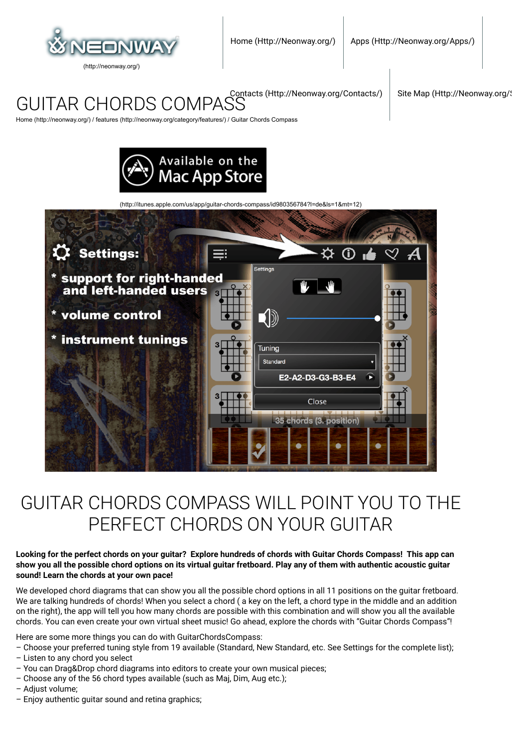

**GUITAR CHORDS COMPA**  $\text{Contacts (Http://Neonway.org/Contacts/}\mid \text{Site Map (Http://Neonway.org/})$ 

[Home \(http://neonway.org/\)](http://neonway.org/) / [features \(http://neonway.org/category/features/\)](http://neonway.org/category/features/) / Guitar Chords Compass



[\(http://itunes.apple.com/us/app/guitar-chords-compass/id980356784?l=de&ls=1&mt=12\)](http://itunes.apple.com/us/app/guitar-chords-compass/id980356784?l=de&ls=1&mt=12)



# GUITAR CHORDS COMPASS WILL POINT YOU TO THE PERFECT CHORDS ON YOUR GUITAR

# **Looking for the perfect chords on your guitar? Explore hundreds of chords with Guitar Chords Compass! This app can show you all the possible chord options on its virtual guitar fretboard. Play any of them with authentic acoustic guitar sound! Learn the chords at your own pace!**

We developed chord diagrams that can show you all the possible chord options in all 11 positions on the guitar fretboard. We are talking hundreds of chords! When you select a chord (a key on the left, a chord type in the middle and an addition on the right), the app will tell you how many chords are possible with this combination and will show you all the available chords. You can even create your own virtual sheet music! Go ahead, explore the chords with "Guitar Chords Compass"!

Here are some more things you can do with GuitarChordsCompass:

- Choose your preferred tuning style from 19 available (Standard, New Standard, etc. See Settings for the complete list);
- Listen to any chord you select
- You can Drag&Drop chord diagrams into editors to create your own musical pieces;
- Choose any of the 56 chord types available (such as Maj, Dim, Aug etc.);
- Adjust volume;
- Enjoy authentic guitar sound and retina graphics;